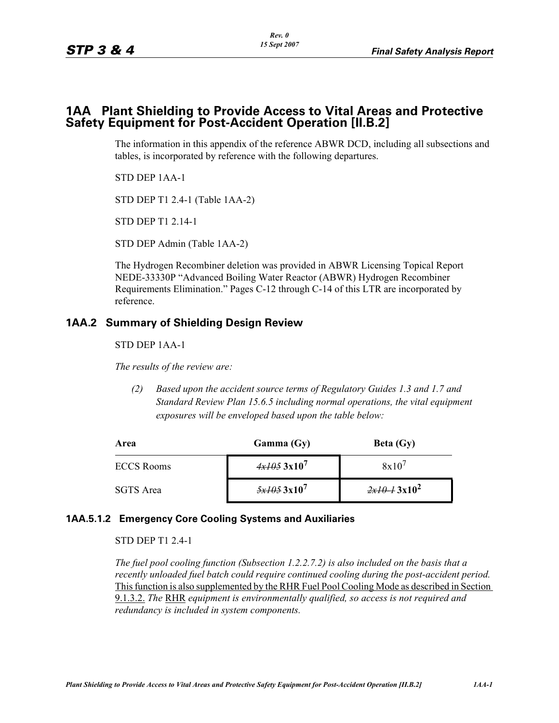## **1AA Plant Shielding to Provide Access to Vital Areas and Protective Safety Equipment for Post-Accident Operation [II.B.2]**

The information in this appendix of the reference ABWR DCD, including all subsections and tables, is incorporated by reference with the following departures.

STD DEP 1AA-1

STD DEP T1 2.4-1 (Table 1AA-2)

STD DEP T1 2.14-1

STD DEP Admin (Table 1AA-2)

The Hydrogen Recombiner deletion was provided in ABWR Licensing Topical Report NEDE-33330P "Advanced Boiling Water Reactor (ABWR) Hydrogen Recombiner Requirements Elimination." Pages C-12 through C-14 of this LTR are incorporated by reference.

## **1AA.2 Summary of Shielding Design Review**

STD DEP 1AA-1

*The results of the review are:*

*(2) Based upon the accident source terms of Regulatory Guides 1.3 and 1.7 and Standard Review Plan 15.6.5 including normal operations, the vital equipment exposures will be enveloped based upon the table below:*

| Area              | Gamma(Gy)                          | Beta $(Gy)$       |
|-------------------|------------------------------------|-------------------|
| <b>ECCS Rooms</b> | $4x1053x10^7$                      | $8x10^7$          |
| SGTS Area         | $\frac{5x}{405}$ 3x10 <sup>7</sup> | $2x10^{-1}3x10^2$ |

## **1AA.5.1.2 Emergency Core Cooling Systems and Auxiliaries**

STD DEP T1 2.4-1

*The fuel pool cooling function (Subsection 1.2.2.7.2) is also included on the basis that a recently unloaded fuel batch could require continued cooling during the post-accident period.* Thisfunction is also supplemented by the RHR Fuel Pool Cooling Mode as described in Section 9.1.3.2. *The* RHR *equipment is environmentally qualified, so access is not required and redundancy is included in system components.*